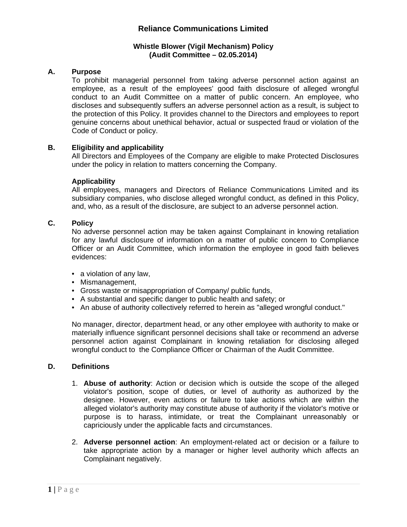### **Whistle Blower (Vigil Mechanism) Policy (Audit Committee – 02.05.2014)**

### **A. Purpose**

To prohibit managerial personnel from taking adverse personnel action against an employee, as a result of the employees' good faith disclosure of alleged wrongful conduct to an Audit Committee on a matter of public concern. An employee, who discloses and subsequently suffers an adverse personnel action as a result, is subject to the protection of this Policy. It provides channel to the Directors and employees to report genuine concerns about unethical behavior, actual or suspected fraud or violation of the Code of Conduct or policy.

### **B. Eligibility and applicability**

All Directors and Employees of the Company are eligible to make Protected Disclosures under the policy in relation to matters concerning the Company.

#### **Applicability**

All employees, managers and Directors of Reliance Communications Limited and its subsidiary companies, who disclose alleged wrongful conduct, as defined in this Policy, and, who, as a result of the disclosure, are subject to an adverse personnel action.

## **C. Policy**

No adverse personnel action may be taken against Complainant in knowing retaliation for any lawful disclosure of information on a matter of public concern to Compliance Officer or an Audit Committee, which information the employee in good faith believes evidences:

- a violation of any law,
- Mismanagement,
- Gross waste or misappropriation of Company/ public funds,
- A substantial and specific danger to public health and safety; or
- An abuse of authority collectively referred to herein as "alleged wrongful conduct."

No manager, director, department head, or any other employee with authority to make or materially influence significant personnel decisions shall take or recommend an adverse personnel action against Complainant in knowing retaliation for disclosing alleged wrongful conduct to the Compliance Officer or Chairman of the Audit Committee.

### **D. Definitions**

- 1. **Abuse of authority**: Action or decision which is outside the scope of the alleged violator's position, scope of duties, or level of authority as authorized by the designee. However, even actions or failure to take actions which are within the alleged violator's authority may constitute abuse of authority if the violator's motive or purpose is to harass, intimidate, or treat the Complainant unreasonably or capriciously under the applicable facts and circumstances.
- 2. **Adverse personnel action**: An employment-related act or decision or a failure to take appropriate action by a manager or higher level authority which affects an Complainant negatively.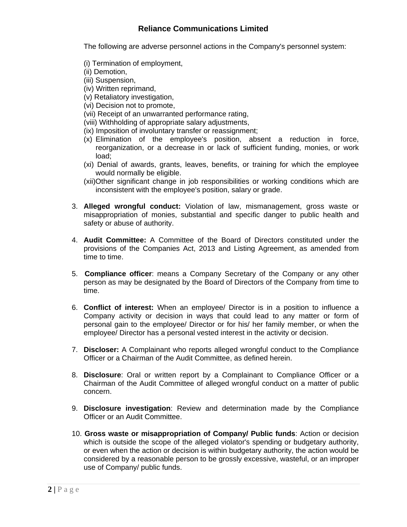The following are adverse personnel actions in the Company's personnel system:

- (i) Termination of employment,
- (ii) Demotion,
- (iii) Suspension,
- (iv) Written reprimand,
- (v) Retaliatory investigation,
- (vi) Decision not to promote,
- (vii) Receipt of an unwarranted performance rating,
- (viii) Withholding of appropriate salary adjustments,
- (ix) Imposition of involuntary transfer or reassignment;
- (x) Elimination of the employee's position, absent a reduction in force, reorganization, or a decrease in or lack of sufficient funding, monies, or work load;
- (xi) Denial of awards, grants, leaves, benefits, or training for which the employee would normally be eligible.
- (xii)Other significant change in job responsibilities or working conditions which are inconsistent with the employee's position, salary or grade.
- 3. **Alleged wrongful conduct:** Violation of law, mismanagement, gross waste or misappropriation of monies, substantial and specific danger to public health and safety or abuse of authority.
- 4. **Audit Committee:** A Committee of the Board of Directors constituted under the provisions of the Companies Act, 2013 and Listing Agreement, as amended from time to time.
- 5. **Compliance officer**: means a Company Secretary of the Company or any other person as may be designated by the Board of Directors of the Company from time to time.
- 6. **Conflict of interest:** When an employee/ Director is in a position to influence a Company activity or decision in ways that could lead to any matter or form of personal gain to the employee/ Director or for his/ her family member, or when the employee/ Director has a personal vested interest in the activity or decision.
- 7. **Discloser:** A Complainant who reports alleged wrongful conduct to the Compliance Officer or a Chairman of the Audit Committee, as defined herein.
- 8. **Disclosure**: Oral or written report by a Complainant to Compliance Officer or a Chairman of the Audit Committee of alleged wrongful conduct on a matter of public concern.
- 9. **Disclosure investigation**: Review and determination made by the Compliance Officer or an Audit Committee.
- 10. **Gross waste or misappropriation of Company/ Public funds**: Action or decision which is outside the scope of the alleged violator's spending or budgetary authority, or even when the action or decision is within budgetary authority, the action would be considered by a reasonable person to be grossly excessive, wasteful, or an improper use of Company/ public funds.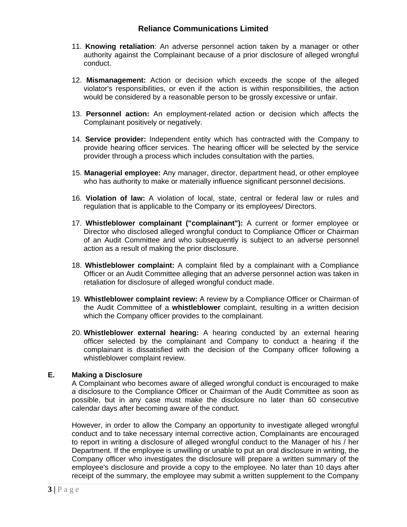- 11. **Knowing retaliation**: An adverse personnel action taken by a manager or other authority against the Complainant because of a prior disclosure of alleged wrongful conduct.
- 12. **Mismanagement:** Action or decision which exceeds the scope of the alleged violator's responsibilities, or even if the action is within responsibilities, the action would be considered by a reasonable person to be grossly excessive or unfair.
- 13. **Personnel action:** An employment-related action or decision which affects the Complainant positively or negatively.
- 14. **Service provider:** Independent entity which has contracted with the Company to provide hearing officer services. The hearing officer will be selected by the service provider through a process which includes consultation with the parties.
- 15. **Managerial employee:** Any manager, director, department head, or other employee who has authority to make or materially influence significant personnel decisions.
- 16. **Violation of law:** A violation of local, state, central or federal law or rules and regulation that is applicable to the Company or its employees/ Directors.
- 17. **Whistleblower complainant ("complainant"):** A current or former employee or Director who disclosed alleged wrongful conduct to Compliance Officer or Chairman of an Audit Committee and who subsequently is subject to an adverse personnel action as a result of making the prior disclosure.
- 18. **Whistleblower complaint:** A complaint filed by a complainant with a Compliance Officer or an Audit Committee alleging that an adverse personnel action was taken in retaliation for disclosure of alleged wrongful conduct made.
- 19. **Whistleblower complaint review:** A review by a Compliance Officer or Chairman of the Audit Committee of a **whistleblower** complaint, resulting in a written decision which the Company officer provides to the complainant.
- 20. **Whistleblower external hearing:** A hearing conducted by an external hearing officer selected by the complainant and Company to conduct a hearing if the complainant is dissatisfied with the decision of the Company officer following a whistleblower complaint review.

## **E. Making a Disclosure**

A Complainant who becomes aware of alleged wrongful conduct is encouraged to make a disclosure to the Compliance Officer or Chairman of the Audit Committee as soon as possible, but in any case must make the disclosure no later than 60 consecutive calendar days after becoming aware of the conduct.

However, in order to allow the Company an opportunity to investigate alleged wrongful conduct and to take necessary internal corrective action, Complainants are encouraged to report in writing a disclosure of alleged wrongful conduct to the Manager of his / her Department. If the employee is unwilling or unable to put an oral disclosure in writing, the Company officer who investigates the disclosure will prepare a written summary of the employee's disclosure and provide a copy to the employee. No later than 10 days after receipt of the summary, the employee may submit a written supplement to the Company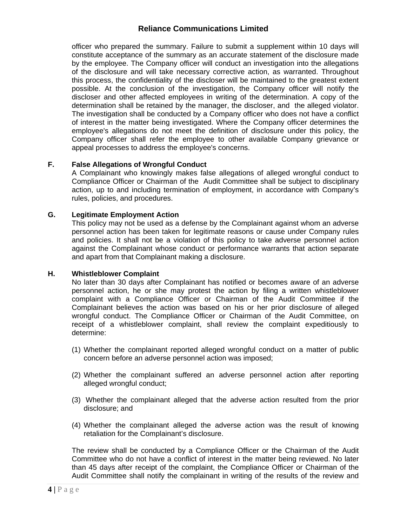officer who prepared the summary. Failure to submit a supplement within 10 days will constitute acceptance of the summary as an accurate statement of the disclosure made by the employee. The Company officer will conduct an investigation into the allegations of the disclosure and will take necessary corrective action, as warranted. Throughout this process, the confidentiality of the discloser will be maintained to the greatest extent possible. At the conclusion of the investigation, the Company officer will notify the discloser and other affected employees in writing of the determination. A copy of the determination shall be retained by the manager, the discloser, and the alleged violator. The investigation shall be conducted by a Company officer who does not have a conflict of interest in the matter being investigated. Where the Company officer determines the employee's allegations do not meet the definition of disclosure under this policy, the Company officer shall refer the employee to other available Company grievance or appeal processes to address the employee's concerns.

## **F. False Allegations of Wrongful Conduct**

A Complainant who knowingly makes false allegations of alleged wrongful conduct to Compliance Officer or Chairman of the Audit Committee shall be subject to disciplinary action, up to and including termination of employment, in accordance with Company's rules, policies, and procedures.

## **G. Legitimate Employment Action**

This policy may not be used as a defense by the Complainant against whom an adverse personnel action has been taken for legitimate reasons or cause under Company rules and policies. It shall not be a violation of this policy to take adverse personnel action against the Complainant whose conduct or performance warrants that action separate and apart from that Complainant making a disclosure.

## **H. Whistleblower Complaint**

No later than 30 days after Complainant has notified or becomes aware of an adverse personnel action, he or she may protest the action by filing a written whistleblower complaint with a Compliance Officer or Chairman of the Audit Committee if the Complainant believes the action was based on his or her prior disclosure of alleged wrongful conduct. The Compliance Officer or Chairman of the Audit Committee, on receipt of a whistleblower complaint, shall review the complaint expeditiously to determine:

- (1) Whether the complainant reported alleged wrongful conduct on a matter of public concern before an adverse personnel action was imposed;
- (2) Whether the complainant suffered an adverse personnel action after reporting alleged wrongful conduct;
- (3) Whether the complainant alleged that the adverse action resulted from the prior disclosure; and
- (4) Whether the complainant alleged the adverse action was the result of knowing retaliation for the Complainant's disclosure.

The review shall be conducted by a Compliance Officer or the Chairman of the Audit Committee who do not have a conflict of interest in the matter being reviewed. No later than 45 days after receipt of the complaint, the Compliance Officer or Chairman of the Audit Committee shall notify the complainant in writing of the results of the review and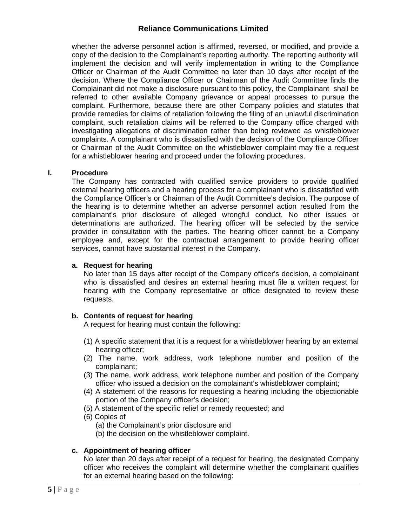whether the adverse personnel action is affirmed, reversed, or modified, and provide a copy of the decision to the Complainant's reporting authority. The reporting authority will implement the decision and will verify implementation in writing to the Compliance Officer or Chairman of the Audit Committee no later than 10 days after receipt of the decision. Where the Compliance Officer or Chairman of the Audit Committee finds the Complainant did not make a disclosure pursuant to this policy, the Complainant shall be referred to other available Company grievance or appeal processes to pursue the complaint. Furthermore, because there are other Company policies and statutes that provide remedies for claims of retaliation following the filing of an unlawful discrimination complaint, such retaliation claims will be referred to the Company office charged with investigating allegations of discrimination rather than being reviewed as whistleblower complaints. A complainant who is dissatisfied with the decision of the Compliance Officer or Chairman of the Audit Committee on the whistleblower complaint may file a request for a whistleblower hearing and proceed under the following procedures.

### **I. Procedure**

The Company has contracted with qualified service providers to provide qualified external hearing officers and a hearing process for a complainant who is dissatisfied with the Compliance Officer's or Chairman of the Audit Committee's decision. The purpose of the hearing is to determine whether an adverse personnel action resulted from the complainant's prior disclosure of alleged wrongful conduct. No other issues or determinations are authorized. The hearing officer will be selected by the service provider in consultation with the parties. The hearing officer cannot be a Company employee and, except for the contractual arrangement to provide hearing officer services, cannot have substantial interest in the Company.

#### **a. Request for hearing**

No later than 15 days after receipt of the Company officer's decision, a complainant who is dissatisfied and desires an external hearing must file a written request for hearing with the Company representative or office designated to review these requests.

## **b. Contents of request for hearing**

A request for hearing must contain the following:

- (1) A specific statement that it is a request for a whistleblower hearing by an external hearing officer;
- (2) The name, work address, work telephone number and position of the complainant;
- (3) The name, work address, work telephone number and position of the Company officer who issued a decision on the complainant's whistleblower complaint;
- (4) A statement of the reasons for requesting a hearing including the objectionable portion of the Company officer's decision;
- (5) A statement of the specific relief or remedy requested; and
- (6) Copies of
	- (a) the Complainant's prior disclosure and
	- (b) the decision on the whistleblower complaint.

#### **c. Appointment of hearing officer**

No later than 20 days after receipt of a request for hearing, the designated Company officer who receives the complaint will determine whether the complainant qualifies for an external hearing based on the following: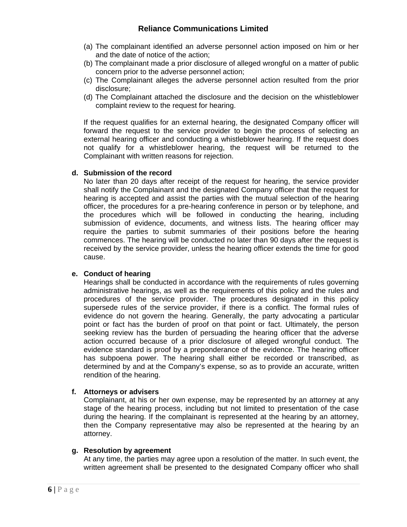- (a) The complainant identified an adverse personnel action imposed on him or her and the date of notice of the action;
- (b) The complainant made a prior disclosure of alleged wrongful on a matter of public concern prior to the adverse personnel action;
- (c) The Complainant alleges the adverse personnel action resulted from the prior disclosure;
- (d) The Complainant attached the disclosure and the decision on the whistleblower complaint review to the request for hearing.

If the request qualifies for an external hearing, the designated Company officer will forward the request to the service provider to begin the process of selecting an external hearing officer and conducting a whistleblower hearing. If the request does not qualify for a whistleblower hearing, the request will be returned to the Complainant with written reasons for rejection.

## **d. Submission of the record**

No later than 20 days after receipt of the request for hearing, the service provider shall notify the Complainant and the designated Company officer that the request for hearing is accepted and assist the parties with the mutual selection of the hearing officer, the procedures for a pre-hearing conference in person or by telephone, and the procedures which will be followed in conducting the hearing, including submission of evidence, documents, and witness lists. The hearing officer may require the parties to submit summaries of their positions before the hearing commences. The hearing will be conducted no later than 90 days after the request is received by the service provider, unless the hearing officer extends the time for good cause.

## **e. Conduct of hearing**

Hearings shall be conducted in accordance with the requirements of rules governing administrative hearings, as well as the requirements of this policy and the rules and procedures of the service provider. The procedures designated in this policy supersede rules of the service provider, if there is a conflict. The formal rules of evidence do not govern the hearing. Generally, the party advocating a particular point or fact has the burden of proof on that point or fact. Ultimately, the person seeking review has the burden of persuading the hearing officer that the adverse action occurred because of a prior disclosure of alleged wrongful conduct. The evidence standard is proof by a preponderance of the evidence. The hearing officer has subpoena power. The hearing shall either be recorded or transcribed, as determined by and at the Company's expense, so as to provide an accurate, written rendition of the hearing.

## **f. Attorneys or advisers**

Complainant, at his or her own expense, may be represented by an attorney at any stage of the hearing process, including but not limited to presentation of the case during the hearing. If the complainant is represented at the hearing by an attorney, then the Company representative may also be represented at the hearing by an attorney.

#### **g. Resolution by agreement**

At any time, the parties may agree upon a resolution of the matter. In such event, the written agreement shall be presented to the designated Company officer who shall